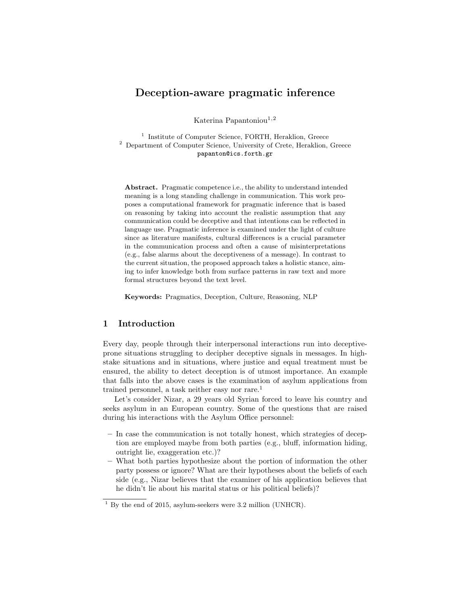# Deception-aware pragmatic inference

Katerina Papantoniou<sup>1,2</sup>

<sup>1</sup> Institute of Computer Science, FORTH, Heraklion, Greece <sup>2</sup> Department of Computer Science, University of Crete, Heraklion, Greece papanton@ics.forth.gr

Abstract. Pragmatic competence i.e., the ability to understand intended meaning is a long standing challenge in communication. This work proposes a computational framework for pragmatic inference that is based on reasoning by taking into account the realistic assumption that any communication could be deceptive and that intentions can be reflected in language use. Pragmatic inference is examined under the light of culture since as literature manifests, cultural differences is a crucial parameter in the communication process and often a cause of misinterpretations (e.g., false alarms about the deceptiveness of a message). In contrast to the current situation, the proposed approach takes a holistic stance, aiming to infer knowledge both from surface patterns in raw text and more formal structures beyond the text level.

Keywords: Pragmatics, Deception, Culture, Reasoning, NLP

## 1 Introduction

Every day, people through their interpersonal interactions run into deceptiveprone situations struggling to decipher deceptive signals in messages. In highstake situations and in situations, where justice and equal treatment must be ensured, the ability to detect deception is of utmost importance. An example that falls into the above cases is the examination of asylum applications from trained personnel, a task neither easy nor rare.<sup>1</sup>

Let's consider Nizar, a 29 years old Syrian forced to leave his country and seeks asylum in an European country. Some of the questions that are raised during his interactions with the Asylum Office personnel:

- In case the communication is not totally honest, which strategies of deception are employed maybe from both parties (e.g., bluff, information hiding, outright lie, exaggeration etc.)?
- What both parties hypothesize about the portion of information the other party possess or ignore? What are their hypotheses about the beliefs of each side (e.g., Nizar believes that the examiner of his application believes that he didn't lie about his marital status or his political beliefs)?

 $1$  By the end of 2015, asylum-seekers were 3.2 million (UNHCR).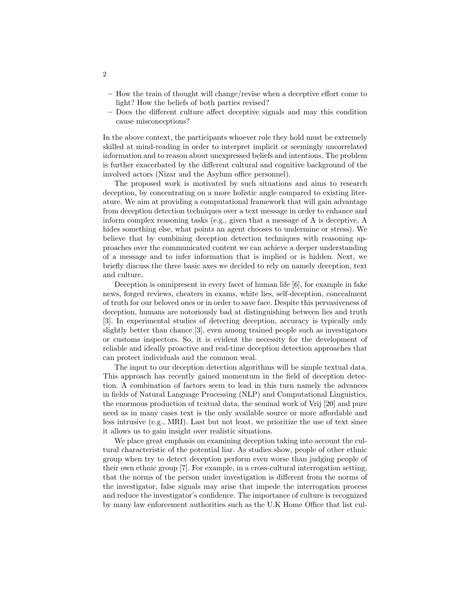- How the train of thought will change/revise when a deceptive effort come to light? How the beliefs of both parties revised?
- Does the different culture affect deceptive signals and may this condition cause misconceptions?

In the above context, the participants whoever role they hold must be extremely skilled at mind-reading in order to interpret implicit or seemingly uncorrelated information and to reason about unexpressed beliefs and intentions. The problem is further exacerbated by the different cultural and cognitive background of the involved actors (Nizar and the Asylum office personnel).

The proposed work is motivated by such situations and aims to research deception, by concentrating on a more holistic angle compared to existing literature. We aim at providing a computational framework that will gain advantage from deception detection techniques over a text message in order to enhance and inform complex reasoning tasks (e.g., given that a message of A is deceptive, A hides something else, what points an agent chooses to undermine or stress). We believe that by combining deception detection techniques with reasoning approaches over the communicated content we can achieve a deeper understanding of a message and to infer information that is implied or is hidden. Next, we briefly discuss the three basic axes we decided to rely on namely deception, text and culture.

Deception is omnipresent in every facet of human life [6], for example in fake news, forged reviews, cheaters in exams, white lies, self-deception, concealment of truth for our beloved ones or in order to save face. Despite this pervasiveness of deception, humans are notoriously bad at distinguishing between lies and truth [3]. In experimental studies of detecting deception, accuracy is typically only slightly better than chance [3], even among trained people such as investigators or customs inspectors. So, it is evident the necessity for the development of reliable and ideally proactive and real-time deception detection approaches that can protect individuals and the common weal.

The input to our deception detection algorithms will be simple textual data. This approach has recently gained momentum in the field of deception detection. A combination of factors seem to lead in this turn namely the advances in fields of Natural Language Processing (NLP) and Computational Linguistics, the enormous production of textual data, the seminal work of Vrij [20] and pure need as in many cases text is the only available source or more affordable and less intrusive (e.g., MRI). Last but not least, we prioritize the use of text since it allows us to gain insight over realistic situations.

We place great emphasis on examining deception taking into account the cultural characteristic of the potential liar. As studies show, people of other ethnic group when try to detect deception perform even worse than judging people of their own ethnic group [7]. For example, in a cross-cultural interrogation setting, that the norms of the person under investigation is different from the norms of the investigator, false signals may arise that impede the interrogation process and reduce the investigator's confidence. The importance of culture is recognized by many law enforcement authorities such as the U.K Home Office that list cul-

2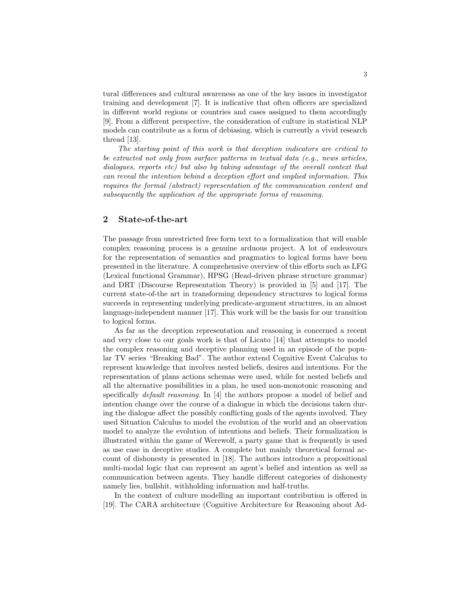tural differences and cultural awareness as one of the key issues in investigator training and development [7]. It is indicative that often officers are specialized in different world regions or countries and cases assigned to them accordingly [9]. From a different perspective, the consideration of culture in statistical NLP models can contribute as a form of debiasing, which is currently a vivid research thread [13].

The starting point of this work is that deception indicators are critical to be extracted not only from surface patterns in textual data (e.g., news articles, dialogues, reports etc) but also by taking advantage of the overall context that can reveal the intention behind a deception effort and implied information. This requires the formal (abstract) representation of the communication content and subsequently the application of the appropriate forms of reasoning.

## 2 State-of-the-art

The passage from unrestricted free form text to a formalization that will enable complex reasoning process is a genuine arduous project. A lot of endeavours for the representation of semantics and pragmatics to logical forms have been presented in the literature. A comprehensive overview of this efforts such as LFG (Lexical functional Grammar), HPSG (Head-driven phrase structure grammar) and DRT (Discourse Representation Theory) is provided in [5] and [17]. The current state-of-the art in transforming dependency structures to logical forms succeeds in representing underlying predicate-argument structures, in an almost language-independent manner [17]. This work will be the basis for our transition to logical forms.

As far as the deception representation and reasoning is concerned a recent and very close to our goals work is that of Licato [14] that attempts to model the complex reasoning and deceptive planning used in an episode of the popular TV series "Breaking Bad". The author extend Cognitive Event Calculus to represent knowledge that involves nested beliefs, desires and intentions. For the representation of plans actions schemas were used, while for nested beliefs and all the alternative possibilities in a plan, he used non-monotonic reasoning and specifically *default reasoning*. In [4] the authors propose a model of belief and intention change over the course of a dialogue in which the decisions taken during the dialogue affect the possibly conflicting goals of the agents involved. They used Situation Calculus to model the evolution of the world and an observation model to analyze the evolution of intentions and beliefs. Their formalization is illustrated within the game of Werewolf, a party game that is frequently is used as use case in deceptive studies. A complete but mainly theoretical formal account of dishonesty is presented in [18]. The authors introduce a propositional multi-modal logic that can represent an agent's belief and intention as well as communication between agents. They handle different categories of dishonesty namely lies, bullshit, withholding information and half-truths.

In the context of culture modelling an important contribution is offered in [19]. The CARA architecture (Cognitive Architecture for Reasoning about Ad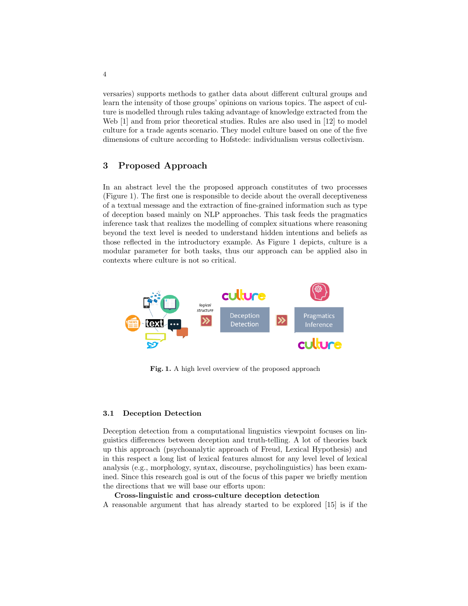versaries) supports methods to gather data about different cultural groups and learn the intensity of those groups' opinions on various topics. The aspect of culture is modelled through rules taking advantage of knowledge extracted from the Web [1] and from prior theoretical studies. Rules are also used in [12] to model culture for a trade agents scenario. They model culture based on one of the five dimensions of culture according to Hofstede: individualism versus collectivism.

## 3 Proposed Approach

In an abstract level the the proposed approach constitutes of two processes (Figure 1). The first one is responsible to decide about the overall deceptiveness of a textual message and the extraction of fine-grained information such as type of deception based mainly on NLP approaches. This task feeds the pragmatics inference task that realizes the modelling of complex situations where reasoning beyond the text level is needed to understand hidden intentions and beliefs as those reflected in the introductory example. As Figure 1 depicts, culture is a modular parameter for both tasks, thus our approach can be applied also in contexts where culture is not so critical.



Fig. 1. A high level overview of the proposed approach

### 3.1 Deception Detection

Deception detection from a computational linguistics viewpoint focuses on linguistics differences between deception and truth-telling. A lot of theories back up this approach (psychoanalytic approach of Freud, Lexical Hypothesis) and in this respect a long list of lexical features almost for any level level of lexical analysis (e.g., morphology, syntax, discourse, psycholinguistics) has been examined. Since this research goal is out of the focus of this paper we briefly mention the directions that we will base our efforts upon:

### Cross-linguistic and cross-culture deception detection

A reasonable argument that has already started to be explored [15] is if the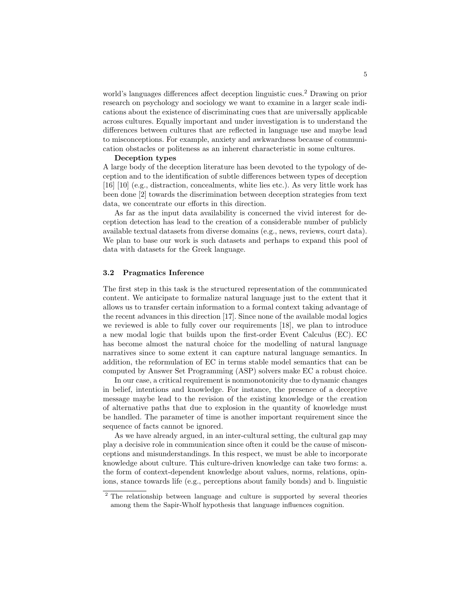world's languages differences affect deception linguistic cues.<sup>2</sup> Drawing on prior research on psychology and sociology we want to examine in a larger scale indications about the existence of discriminating cues that are universally applicable across cultures. Equally important and under investigation is to understand the differences between cultures that are reflected in language use and maybe lead to misconceptions. For example, anxiety and awkwardness because of communication obstacles or politeness as an inherent characteristic in some cultures.

#### Deception types

A large body of the deception literature has been devoted to the typology of deception and to the identification of subtle differences between types of deception [16] [10] (e.g., distraction, concealments, white lies etc.). As very little work has been done [2] towards the discrimination between deception strategies from text data, we concentrate our efforts in this direction.

As far as the input data availability is concerned the vivid interest for deception detection has lead to the creation of a considerable number of publicly available textual datasets from diverse domains (e.g., news, reviews, court data). We plan to base our work is such datasets and perhaps to expand this pool of data with datasets for the Greek language.

### 3.2 Pragmatics Inference

The first step in this task is the structured representation of the communicated content. We anticipate to formalize natural language just to the extent that it allows us to transfer certain information to a formal context taking advantage of the recent advances in this direction [17]. Since none of the available modal logics we reviewed is able to fully cover our requirements [18], we plan to introduce a new modal logic that builds upon the first-order Event Calculus (EC). EC has become almost the natural choice for the modelling of natural language narratives since to some extent it can capture natural language semantics. In addition, the reformulation of EC in terms stable model semantics that can be computed by Answer Set Programming (ASP) solvers make EC a robust choice.

In our case, a critical requirement is nonmonotonicity due to dynamic changes in belief, intentions and knowledge. For instance, the presence of a deceptive message maybe lead to the revision of the existing knowledge or the creation of alternative paths that due to explosion in the quantity of knowledge must be handled. The parameter of time is another important requirement since the sequence of facts cannot be ignored.

As we have already argued, in an inter-cultural setting, the cultural gap may play a decisive role in communication since often it could be the cause of misconceptions and misunderstandings. In this respect, we must be able to incorporate knowledge about culture. This culture-driven knowledge can take two forms: a. the form of context-dependent knowledge about values, norms, relations, opinions, stance towards life (e.g., perceptions about family bonds) and b. linguistic

<sup>&</sup>lt;sup>2</sup> The relationship between language and culture is supported by several theories among them the Sapir-Wholf hypothesis that language influences cognition.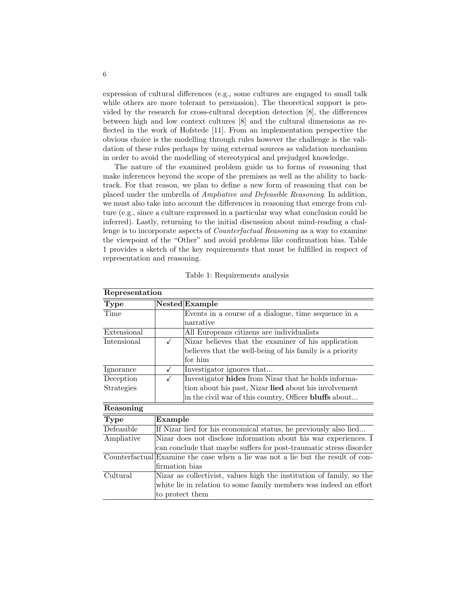expression of cultural differences (e.g., some cultures are engaged to small talk while others are more tolerant to persuasion). The theoretical support is provided by the research for cross-cultural deception detection [8], the differences between high and low context cultures [8] and the cultural dimensions as reflected in the work of Hofstede [11]. From an implementation perspective the obvious choice is the modelling through rules however the challenge is the validation of these rules perhaps by using external sources as validation mechanism in order to avoid the modelling of stereotypical and prejudged knowledge.

The nature of the examined problem guide us to forms of reasoning that make inferences beyond the scope of the premises as well as the ability to backtrack. For that reason, we plan to define a new form of reasoning that can be placed under the umbrella of Ampliative and Defeasible Reasoning. In addition, we must also take into account the differences in reasoning that emerge from culture (e.g., since a culture expressed in a particular way what conclusion could be inferred). Lastly, returning to the initial discussion about mind-reading a challenge is to incorporate aspects of Counterfactual Reasoning as a way to examine the viewpoint of the "Other" and avoid problems like confirmation bias. Table 1 provides a sketch of the key requirements that must be fulfilled in respect of representation and reasoning.

| Representation                |                                                                                 |                                                                      |  |  |
|-------------------------------|---------------------------------------------------------------------------------|----------------------------------------------------------------------|--|--|
| Type                          |                                                                                 | Nested Example                                                       |  |  |
| Time                          |                                                                                 | Events in a course of a dialogue, time sequence in a                 |  |  |
|                               |                                                                                 | narrative                                                            |  |  |
| Extensional                   |                                                                                 | All Europeans citizens are individualists                            |  |  |
| Intensional                   |                                                                                 | Nizar believes that the examiner of his application                  |  |  |
|                               |                                                                                 | believes that the well-being of his family is a priority             |  |  |
|                               |                                                                                 | for him                                                              |  |  |
| Ignorance                     | $\checkmark$                                                                    | Investigator ignores that                                            |  |  |
| Deception                     |                                                                                 | Investigator hides from Nizar that he holds informa-                 |  |  |
| Strategies                    |                                                                                 | tion about his past, Nizar lied about his involvement                |  |  |
|                               |                                                                                 | in the civil war of this country, Officer bluffs about               |  |  |
| Reasoning                     |                                                                                 |                                                                      |  |  |
| <b>Type</b>                   | Example                                                                         |                                                                      |  |  |
| Defeasible                    | If Nizar lied for his economical status, he previously also lied                |                                                                      |  |  |
| Ampliative                    | Nizar does not disclose information about his war experiences. I                |                                                                      |  |  |
|                               |                                                                                 | can conclude that maybe suffers for post-traumatic stress disorder   |  |  |
|                               | Counterfactual Examine the case when a lie was not a lie but the result of con- |                                                                      |  |  |
|                               | firmation bias                                                                  |                                                                      |  |  |
| $\overline{\text{C}}$ ultural |                                                                                 | Nizar as collectivist, values high the institution of family, so the |  |  |
|                               |                                                                                 | white lie in relation to some family members was indeed an effort    |  |  |
|                               | to protect them                                                                 |                                                                      |  |  |

|  | Table 1: Requirements analysis |  |
|--|--------------------------------|--|
|  |                                |  |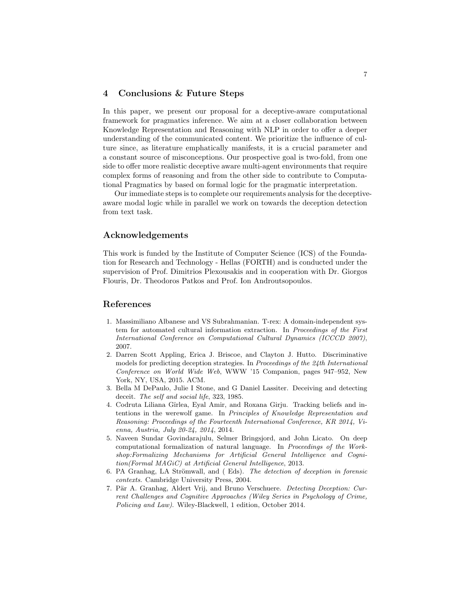## 4 Conclusions & Future Steps

In this paper, we present our proposal for a deceptive-aware computational framework for pragmatics inference. We aim at a closer collaboration between Knowledge Representation and Reasoning with NLP in order to offer a deeper understanding of the communicated content. We prioritize the influence of culture since, as literature emphatically manifests, it is a crucial parameter and a constant source of misconceptions. Our prospective goal is two-fold, from one side to offer more realistic deceptive aware multi-agent environments that require complex forms of reasoning and from the other side to contribute to Computational Pragmatics by based on formal logic for the pragmatic interpretation.

Our immediate steps is to complete our requirements analysis for the deceptiveaware modal logic while in parallel we work on towards the deception detection from text task.

## Acknowledgements

This work is funded by the Institute of Computer Science (ICS) of the Foundation for Research and Technology - Hellas (FORTH) and is conducted under the supervision of Prof. Dimitrios Plexousakis and in cooperation with Dr. Giorgos Flouris, Dr. Theodoros Patkos and Prof. Ion Androutsopoulos.

## References

- 1. Massimiliano Albanese and VS Subrahmanian. T-rex: A domain-independent system for automated cultural information extraction. In Proceedings of the First International Conference on Computational Cultural Dynamics (ICCCD 2007), 2007.
- 2. Darren Scott Appling, Erica J. Briscoe, and Clayton J. Hutto. Discriminative models for predicting deception strategies. In Proceedings of the 24th International Conference on World Wide Web, WWW '15 Companion, pages 947–952, New York, NY, USA, 2015. ACM.
- 3. Bella M DePaulo, Julie I Stone, and G Daniel Lassiter. Deceiving and detecting deceit. The self and social life, 323, 1985.
- 4. Codruta Liliana Gˆırlea, Eyal Amir, and Roxana Girju. Tracking beliefs and intentions in the werewolf game. In Principles of Knowledge Representation and Reasoning: Proceedings of the Fourteenth International Conference, KR 2014, Vienna, Austria, July 20-24, 2014, 2014.
- 5. Naveen Sundar Govindarajulu, Selmer Bringsjord, and John Licato. On deep computational formalization of natural language. In Proceedings of the Workshop:Formalizing Mechanisms for Artificial General Intelligence and Cognition(Formal MAGiC) at Artificial General Intelligence, 2013.
- 6. PA Granhag, LA Strömwall, and (Eds). The detection of deception in forensic contexts. Cambridge University Press, 2004.
- 7. Pär A. Granhag, Aldert Vrij, and Bruno Verschuere. Detecting Deception: Current Challenges and Cognitive Approaches (Wiley Series in Psychology of Crime, Policing and Law). Wiley-Blackwell, 1 edition, October 2014.